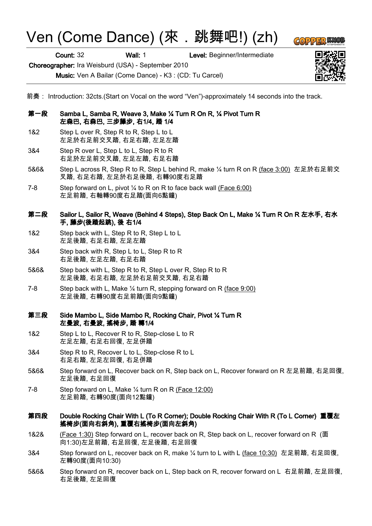## Ven (Come Dance) (來. 跳舞吧!) (zh)

Count: 32 Wall: 1 Level: Beginner/Intermediate

Choreographer: Ira Weisburd (USA) - September 2010

Music: Ven A Bailar (Come Dance) - K3 : (CD: Tu Carcel)

前奏: Introduction: 32cts.(Start on Vocal on the word "Ven")-approximately 14 seconds into the track.

- 第一段 Samba L, Samba R, Weave 3, Make ¼ Turn R On R, ¼ Pivot Turn R 左森巴, 右森巴, 三步藤步, 右1/4, 踏 1/4
- 1&2 Step L over R, Step R to R, Step L to L 左足於右足前交叉踏, 右足右踏, 左足左踏
- 3&4 Step R over L, Step L to L, Step R to R 右足於左足前交叉踏, 左足左踏, 右足右踏
- 5&6& Step L across R, Step R to R, Step L behind R, make ¼ turn R on R (face 3:00) 左足於右足前交 叉踏, 右足右踏, 左足於右足後踏, 右轉90度右足踏
- 7-8 Step forward on L, pivot ¼ to R on R to face back wall (Face 6:00) 左足前踏, 右軸轉90度右足踏(面向6點鐘)
- 第二段 Sailor L, Sailor R, Weave (Behind 4 Steps), Step Back On L, Make ¼ Turn R On R 左水手, 右水 手, 藤步(後踏起跳), 後 右1/4
- 1&2 Step back with L, Step R to R, Step L to L 左足後踏, 右足右踏, 左足左踏
- 3&4 Step back with R, Step L to L, Step R to R 右足後踏, 左足左踏, 右足右踏
- 5&6& Step back with L, Step R to R, Step L over R, Step R to R 左足後踏, 右足右踏, 左足於右足前交叉踏, 右足右踏
- 7-8 Step back with L, Make ¼ turn R, stepping forward on R (face 9:00) 左足後踏, 右轉90度右足前踏(面向9點鐘)

## 第三段 Side Mambo L, Side Mambo R, Rocking Chair, Pivot ¼ Turn R 左曼波, 右曼波, 搖椅步, 踏 轉1/4

- 1&2 Step L to L, Recover R to R, Step-close L to R 左足左踏, 右足右回復, 左足併踏
- 3&4 Step R to R, Recover L to L, Step-close R to L 右足右踏, 左足左回復, 右足併踏
- 5&6& Step forward on L, Recover back on R, Step back on L, Recover forward on R 左足前踏, 右足回復, 左足後踏, 右足回復
- 7-8 Step forward on L, Make ¼ turn R on R (Face 12:00) 左足前踏, 右轉90度(面向12點鐘)

## 第四段 Double Rocking Chair With L (To R Corner); Double Rocking Chair With R (To L Corner) 重覆左 搖椅步(面向右斜角), 重覆右搖椅步(面向左斜角)

- 1&2& (Face 1:30) Step forward on L, recover back on R, Step back on L, recover forward on R (面 向1:30)左足前踏, 右足回復, 左足後踏, 右足回復
- 3&4 Step forward on L, recover back on R, make ¼ turn to L with L (face 10:30) 左足前踏, 右足回復, 左轉90度(面向10:30)
- 5&6& Step forward on R, recover back on L, Step back on R, recover forward on L 右足前踏, 左足回復, 右足後踏, 左足回復